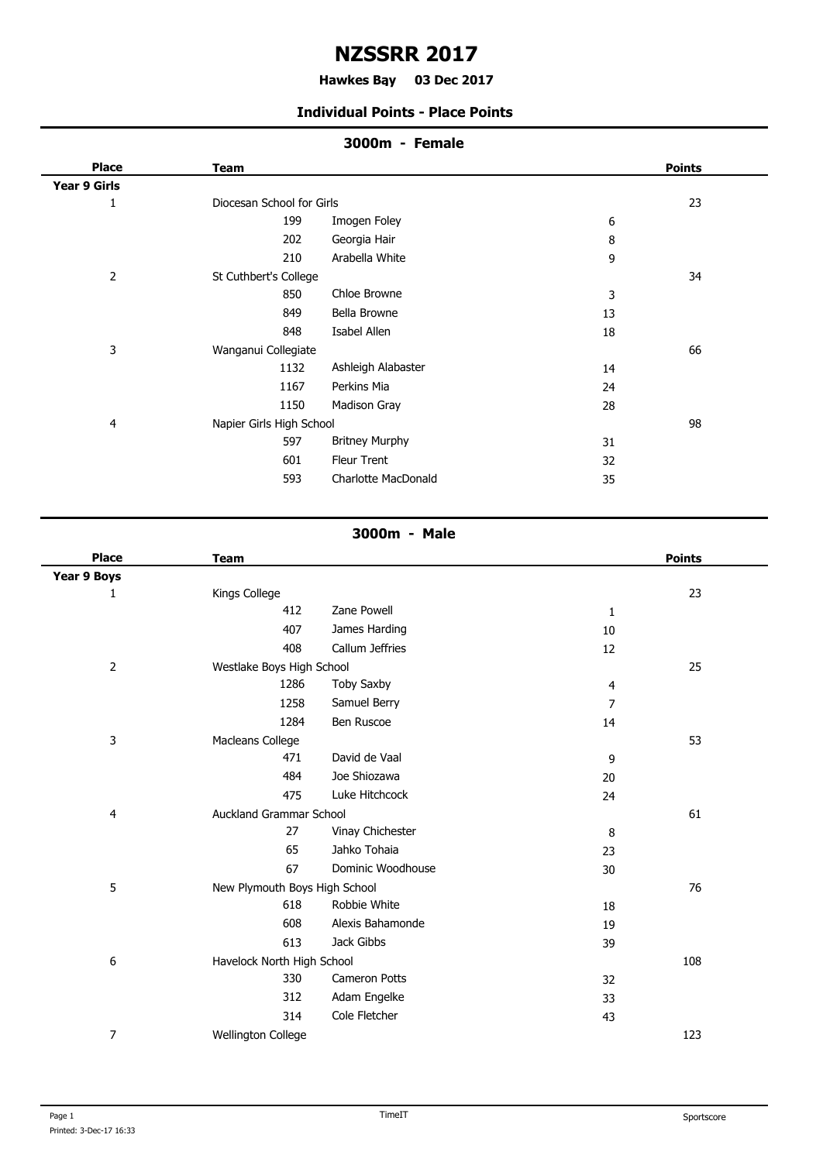# **NZSSRR 2017**

**Hawkes Bay 03 Dec 2017 .**

### **Individual Points - Place Points**

# **3000m - Female**

| <b>Place</b>        | <b>Team</b>               |                            |    | <b>Points</b> |
|---------------------|---------------------------|----------------------------|----|---------------|
| <b>Year 9 Girls</b> |                           |                            |    |               |
| 1                   | Diocesan School for Girls |                            |    | 23            |
|                     | 199                       | Imogen Foley               | 6  |               |
|                     | 202                       | Georgia Hair               | 8  |               |
|                     | 210                       | Arabella White             | 9  |               |
|                     | St Cuthbert's College     |                            |    | 34            |
|                     | 850                       | Chloe Browne               | 3  |               |
|                     | 849                       | Bella Browne               | 13 |               |
|                     | 848                       | Isabel Allen               | 18 |               |
| 3                   | Wanganui Collegiate       |                            |    | 66            |
|                     | 1132                      | Ashleigh Alabaster         | 14 |               |
|                     | 1167                      | Perkins Mia                | 24 |               |
|                     | 1150                      | Madison Gray               | 28 |               |
| 4                   | Napier Girls High School  |                            |    | 98            |
|                     | 597                       | <b>Britney Murphy</b>      | 31 |               |
|                     | 601                       | Fleur Trent                | 32 |               |
|                     | 593                       | <b>Charlotte MacDonald</b> | 35 |               |

## **3000m - Male**

| <b>Place</b>       | <b>Team</b>                   |                   |              | <b>Points</b> |
|--------------------|-------------------------------|-------------------|--------------|---------------|
| <b>Year 9 Boys</b> |                               |                   |              |               |
| 1                  | Kings College                 |                   |              | 23            |
|                    | 412                           | Zane Powell       | $\mathbf{1}$ |               |
|                    | 407                           | James Harding     | 10           |               |
|                    | 408                           | Callum Jeffries   | 12           |               |
| $\overline{2}$     | Westlake Boys High School     |                   |              | 25            |
|                    | 1286                          | Toby Saxby        | 4            |               |
|                    | 1258                          | Samuel Berry      | 7            |               |
|                    | 1284                          | Ben Ruscoe        | 14           |               |
| 3                  | Macleans College              |                   |              | 53            |
|                    | 471                           | David de Vaal     | 9            |               |
|                    | 484                           | Joe Shiozawa      | 20           |               |
|                    | 475                           | Luke Hitchcock    | 24           |               |
| 4                  | Auckland Grammar School       |                   |              | 61            |
|                    | 27                            | Vinay Chichester  | 8            |               |
|                    | 65                            | Jahko Tohaia      | 23           |               |
|                    | 67                            | Dominic Woodhouse | 30           |               |
| 5                  | New Plymouth Boys High School |                   |              | 76            |
|                    | 618                           | Robbie White      | 18           |               |
|                    | 608                           | Alexis Bahamonde  | 19           |               |
|                    | 613                           | Jack Gibbs        | 39           |               |
| 6                  | Havelock North High School    |                   |              | 108           |
|                    | 330                           | Cameron Potts     | 32           |               |
|                    | 312                           | Adam Engelke      | 33           |               |
|                    | 314                           | Cole Fletcher     | 43           |               |
| $\overline{7}$     | Wellington College            |                   |              | 123           |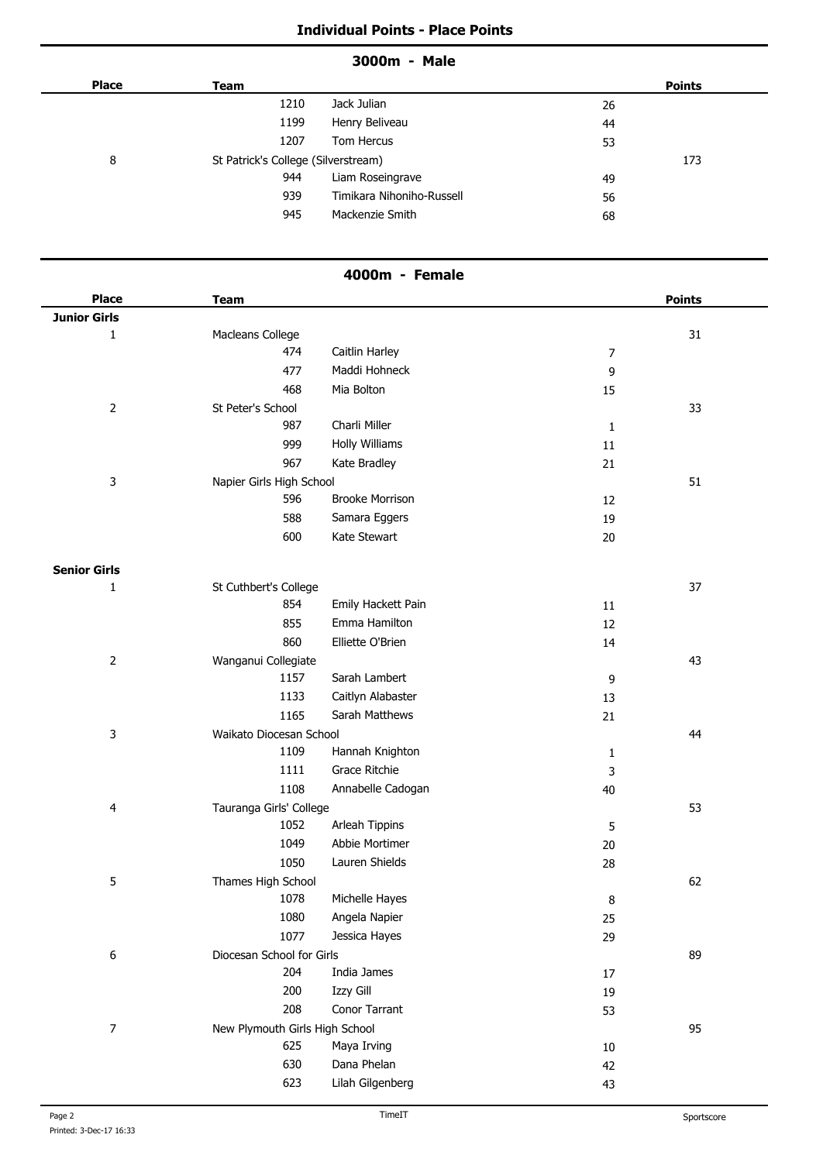### **Individual Points - Place Points**

#### **3000m - Male**

| <b>Place</b> | Team                                |                           |    | <b>Points</b> |
|--------------|-------------------------------------|---------------------------|----|---------------|
|              | 1210                                | Jack Julian               | 26 |               |
|              | 1199                                | Henry Beliveau            | 44 |               |
|              | 1207                                | Tom Hercus                | 53 |               |
| 8            | St Patrick's College (Silverstream) |                           |    | 173           |
|              | 944                                 | Liam Roseingrave          | 49 |               |
|              | 939                                 | Timikara Nihoniho-Russell | 56 |               |
|              | 945                                 | Mackenzie Smith           | 68 |               |

**4000m - Female**

# **Place Team Points Junior Girls** 1 Macleans College 31 Macleans College 31 Macleans 2018 19:30 No. 31 Macleans 2018 19:31 474 Caitlin Harley 7 477 Maddi Hohneck 9 468 Mia Bolton 15 2 St Peter's School 33 987 Charli Miller 1 999 Holly Williams 11 967 Kate Bradley 21 3 Napier Girls High School 51 596 Brooke Morrison 12 588 Samara Eggers 19 600 Kate Stewart 20 **Senior Girls** 1 St Cuthbert's College 37 854 Emily Hackett Pain 855 Emma Hamilton 12 860 Elliette O'Brien 14 2 Wanganui Collegiate 43 1157 Sarah Lambert 9 1133 Caitlyn Alabaster 13 1165 Sarah Matthews 21 3 Waikato Diocesan School 44 1109 Hannah Knighton 1109 Hannah Knighton 11 1111 Grace Ritchie 3 1108 Annabelle Cadogan 40 4 **Tauranga Girls' College 53 Tauranga Girls' College** 53 1052 Arleah Tippins 5 1049 Abbie Mortimer 20 1050 Lauren Shields 28 5 Thames High School 62 1078 Michelle Hayes 8 1080 Angela Napier 25

6 **Diocesan School for Girls 89 Diocesan School for Girls** 89

7 New Plymouth Girls High School **1996** New Plymouth Girls High School

1077 Jessica Hayes 29

204 India James 17

208 Conor Tarrant 53

625 Maya Irving 10 630 Dana Phelan 42 623 Lilah Gilgenberg 43

200 Izzy Gill 19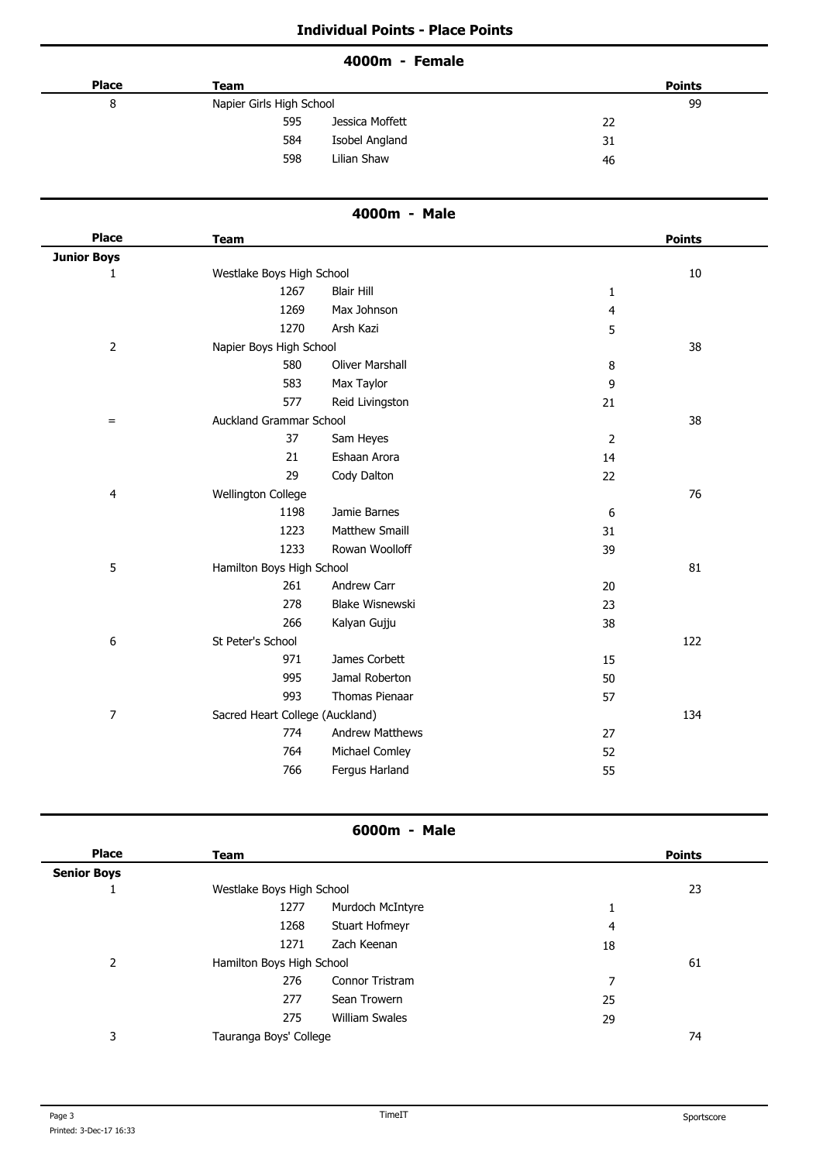# **Individual Points - Place Points**

#### **4000m - Female**

| <b>Place</b> | Team                     |                 | <b>Points</b> |
|--------------|--------------------------|-----------------|---------------|
| 8            | Napier Girls High School |                 | 99            |
|              | 595                      | Jessica Moffett | 22            |
|              | 584                      | Isobel Angland  | 31            |
|              | 598                      | Lilian Shaw     | 46            |

### **4000m - Male**

| <b>Place</b>       | <b>Team</b>                     |                        |    | <b>Points</b> |
|--------------------|---------------------------------|------------------------|----|---------------|
| <b>Junior Boys</b> |                                 |                        |    |               |
| 1                  | Westlake Boys High School       |                        |    | $10\,$        |
|                    | 1267                            | <b>Blair Hill</b>      | 1  |               |
|                    | 1269                            | Max Johnson            | 4  |               |
|                    | 1270                            | Arsh Kazi              | 5  |               |
| 2                  | Napier Boys High School         |                        |    | 38            |
|                    | 580                             | <b>Oliver Marshall</b> | 8  |               |
|                    | 583                             | Max Taylor             | 9  |               |
|                    | 577                             | Reid Livingston        | 21 |               |
| $=$                | Auckland Grammar School         |                        |    | 38            |
|                    | 37                              | Sam Heyes              | 2  |               |
|                    | 21                              | Eshaan Arora           | 14 |               |
|                    | 29                              | Cody Dalton            | 22 |               |
| 4                  | Wellington College              |                        |    | 76            |
|                    | 1198                            | Jamie Barnes           | 6  |               |
|                    | 1223                            | <b>Matthew Smaill</b>  | 31 |               |
|                    | 1233                            | Rowan Woolloff         | 39 |               |
| 5                  | Hamilton Boys High School       |                        |    | 81            |
|                    | 261                             | Andrew Carr            | 20 |               |
|                    | 278                             | <b>Blake Wisnewski</b> | 23 |               |
|                    | 266                             | Kalyan Gujju           | 38 |               |
| 6                  | St Peter's School               |                        |    | 122           |
|                    | 971                             | James Corbett          | 15 |               |
|                    | 995                             | Jamal Roberton         | 50 |               |
|                    | 993                             | Thomas Pienaar         | 57 |               |
| $\overline{7}$     | Sacred Heart College (Auckland) |                        |    | 134           |
|                    | 774                             | <b>Andrew Matthews</b> | 27 |               |
|                    | 764                             | Michael Comley         | 52 |               |
|                    | 766                             | Fergus Harland         | 55 |               |

# **6000m - Male**

| <b>Place</b>       | Team                      |                       |    | <b>Points</b> |
|--------------------|---------------------------|-----------------------|----|---------------|
| <b>Senior Boys</b> |                           |                       |    |               |
| Ŧ                  | Westlake Boys High School |                       |    | 23            |
|                    | 1277                      | Murdoch McIntyre      |    |               |
|                    | 1268                      | Stuart Hofmeyr        | 4  |               |
|                    | 1271                      | Zach Keenan           | 18 |               |
| 2                  | Hamilton Boys High School |                       |    | 61            |
|                    | 276                       | Connor Tristram       | 7  |               |
|                    | 277                       | Sean Trowern          | 25 |               |
|                    | 275                       | <b>William Swales</b> | 29 |               |
| 3                  | Tauranga Boys' College    |                       |    | 74            |